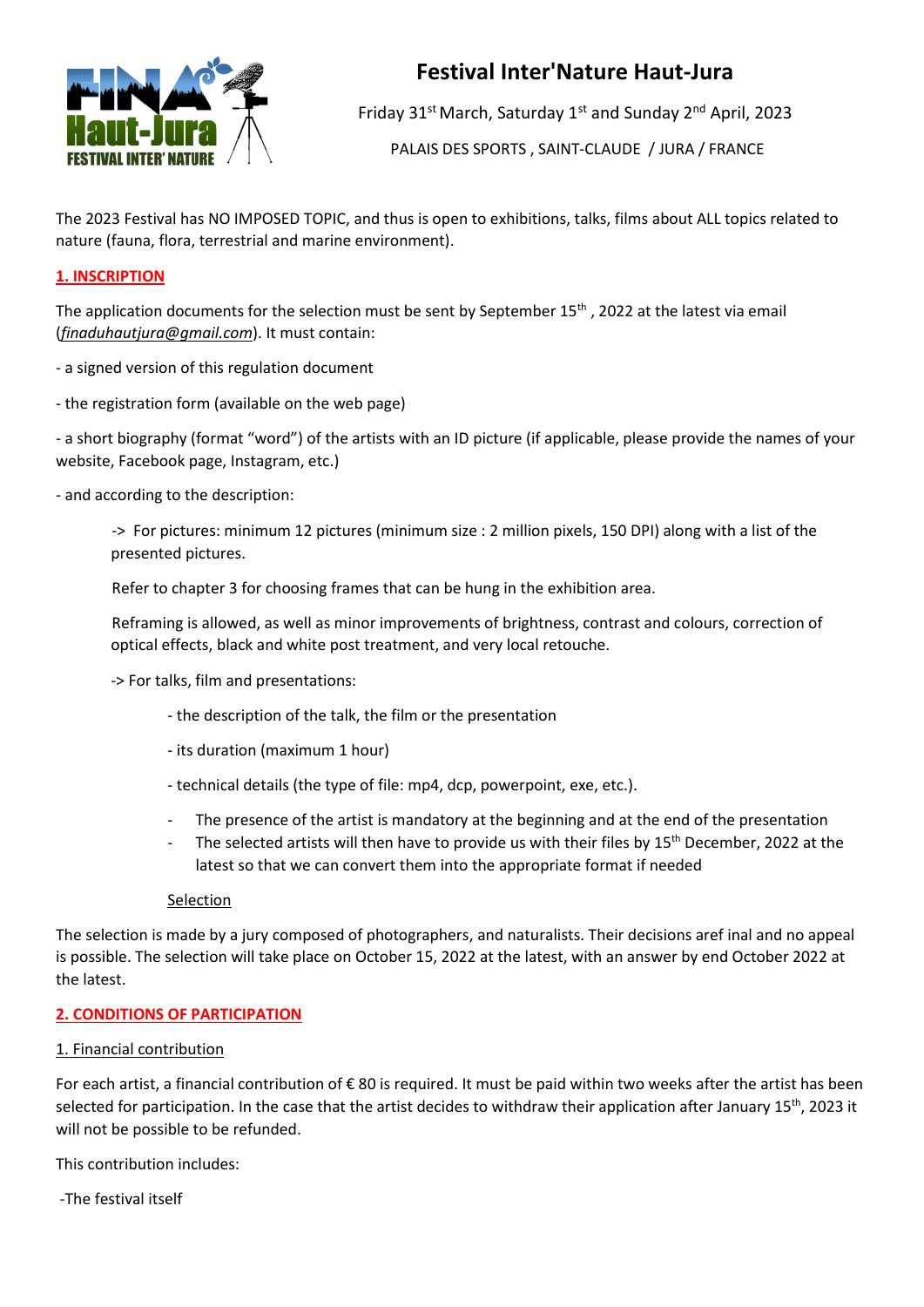

# **Festival Inter'Nature Haut-Jura**

Friday 31<sup>st</sup> March, Saturday 1<sup>st</sup> and Sunday 2<sup>nd</sup> April, 2023

PALAIS DES SPORTS , SAINT-CLAUDE / JURA / FRANCE

The 2023 Festival has NO IMPOSED TOPIC, and thus is open to exhibitions, talks, films about ALL topics related to nature (fauna, flora, terrestrial and marine environment).

## **1. INSCRIPTION**

The application documents for the selection must be sent by September  $15<sup>th</sup>$ , 2022 at the latest via email (*finaduhautjura@gmail.com*). It must contain:

- a signed version of this regulation document
- the registration form (available on the web page)

- a short biography (format "word") of the artists with an ID picture (if applicable, please provide the names of your website, Facebook page, Instagram, etc.)

- and according to the description:

-> For pictures: minimum 12 pictures (minimum size : 2 million pixels, 150 DPI) along with a list of the presented pictures.

Refer to chapter 3 for choosing frames that can be hung in the exhibition area.

Reframing is allowed, as well as minor improvements of brightness, contrast and colours, correction of optical effects, black and white post treatment, and very local retouche.

- -> For talks, film and presentations:
	- the description of the talk, the film or the presentation
	- its duration (maximum 1 hour)
	- technical details (the type of file: mp4, dcp, powerpoint, exe, etc.).
	- The presence of the artist is mandatory at the beginning and at the end of the presentation
	- The selected artists will then have to provide us with their files by 15<sup>th</sup> December, 2022 at the latest so that we can convert them into the appropriate format if needed

Selection

The selection is made by a jury composed of photographers, and naturalists. Their decisions aref inal and no appeal is possible. The selection will take place on October 15, 2022 at the latest, with an answer by end October 2022 at the latest.

## **2. CONDITIONS OF PARTICIPATION**

## 1. Financial contribution

For each artist, a financial contribution of € 80 is required. It must be paid within two weeks after the artist has been selected for participation. In the case that the artist decides to withdraw their application after January  $15^{th}$ , 2023 it will not be possible to be refunded.

This contribution includes:

-The festival itself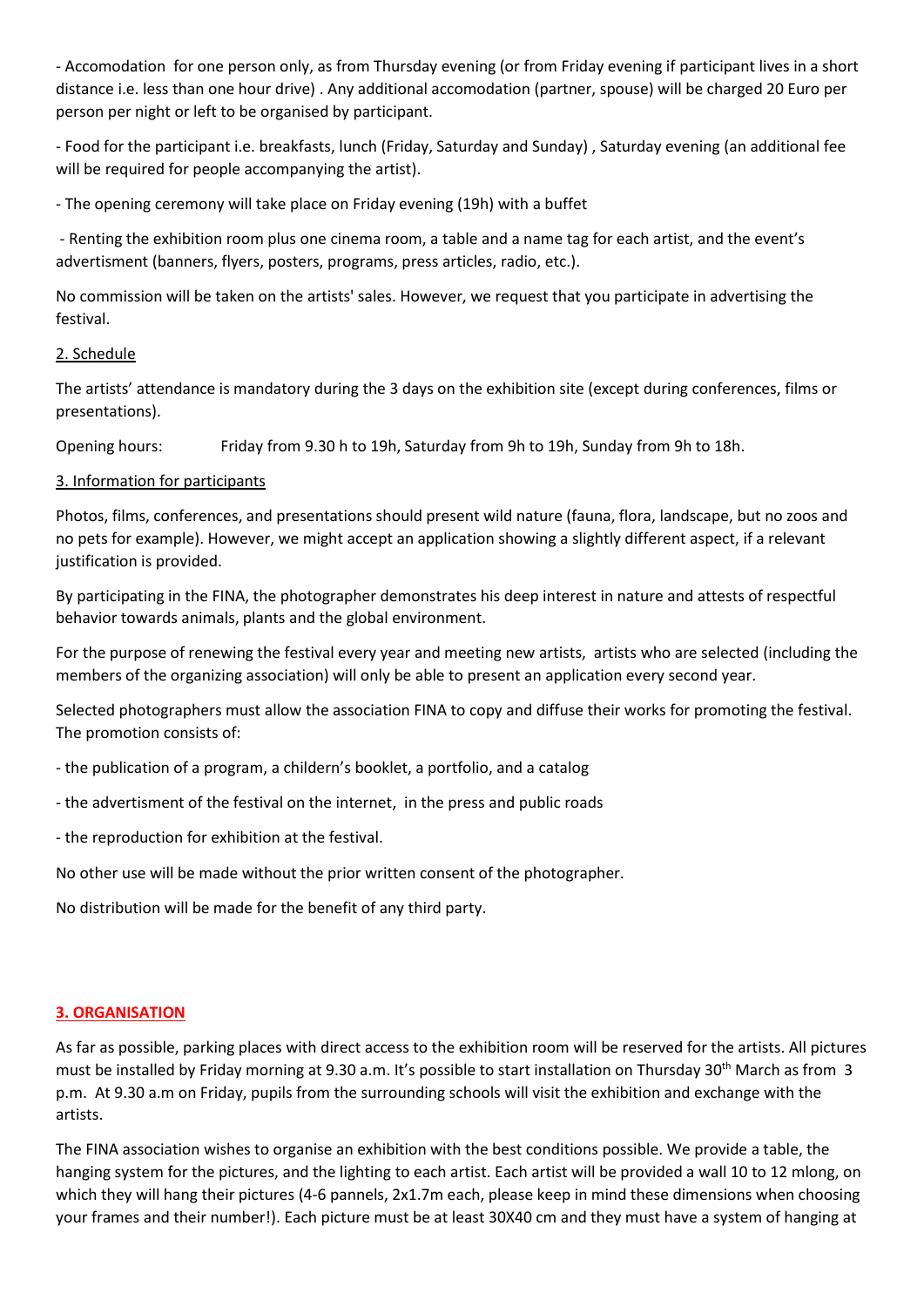- Accomodation for one person only, as from Thursday evening (or from Friday evening if participant lives in a short distance i.e. less than one hour drive) . Any additional accomodation (partner, spouse) will be charged 20 Euro per person per night or left to be organised by participant.

- Food for the participant i.e. breakfasts, lunch (Friday, Saturday and Sunday) , Saturday evening (an additional fee will be required for people accompanying the artist).

- The opening ceremony will take place on Friday evening (19h) with a buffet

- Renting the exhibition room plus one cinema room, a table and a name tag for each artist, and the event's advertisment (banners, flyers, posters, programs, press articles, radio, etc.).

No commission will be taken on the artists' sales. However, we request that you participate in advertising the festival.

#### 2. Schedule

The artists' attendance is mandatory during the 3 days on the exhibition site (except during conferences, films or presentations).

Opening hours: Friday from 9.30 h to 19h, Saturday from 9h to 19h, Sunday from 9h to 18h.

#### 3. Information for participants

Photos, films, conferences, and presentations should present wild nature (fauna, flora, landscape, but no zoos and no pets for example). However, we might accept an application showing a slightly different aspect, if a relevant justification is provided.

By participating in the FINA, the photographer demonstrates his deep interest in nature and attests of respectful behavior towards animals, plants and the global environment.

For the purpose of renewing the festival every year and meeting new artists, artists who are selected (including the members of the organizing association) will only be able to present an application every second year.

Selected photographers must allow the association FINA to copy and diffuse their works for promoting the festival. The promotion consists of:

- the publication of a program, a childern's booklet, a portfolio, and a catalog
- the advertisment of the festival on the internet, in the press and public roads
- the reproduction for exhibition at the festival.

No other use will be made without the prior written consent of the photographer.

No distribution will be made for the benefit of any third party.

#### **3. ORGANISATION**

As far as possible, parking places with direct access to the exhibition room will be reserved for the artists. All pictures must be installed by Friday morning at 9.30 a.m. It's possible to start installation on Thursday 30th March as from 3 p.m. At 9.30 a.m on Friday, pupils from the surrounding schools will visit the exhibition and exchange with the artists.

The FINA association wishes to organise an exhibition with the best conditions possible. We provide a table, the hanging system for the pictures, and the lighting to each artist. Each artist will be provided a wall 10 to 12 mlong, on which they will hang their pictures (4-6 pannels, 2x1.7m each, please keep in mind these dimensions when choosing your frames and their number!). Each picture must be at least 30X40 cm and they must have a system of hanging at